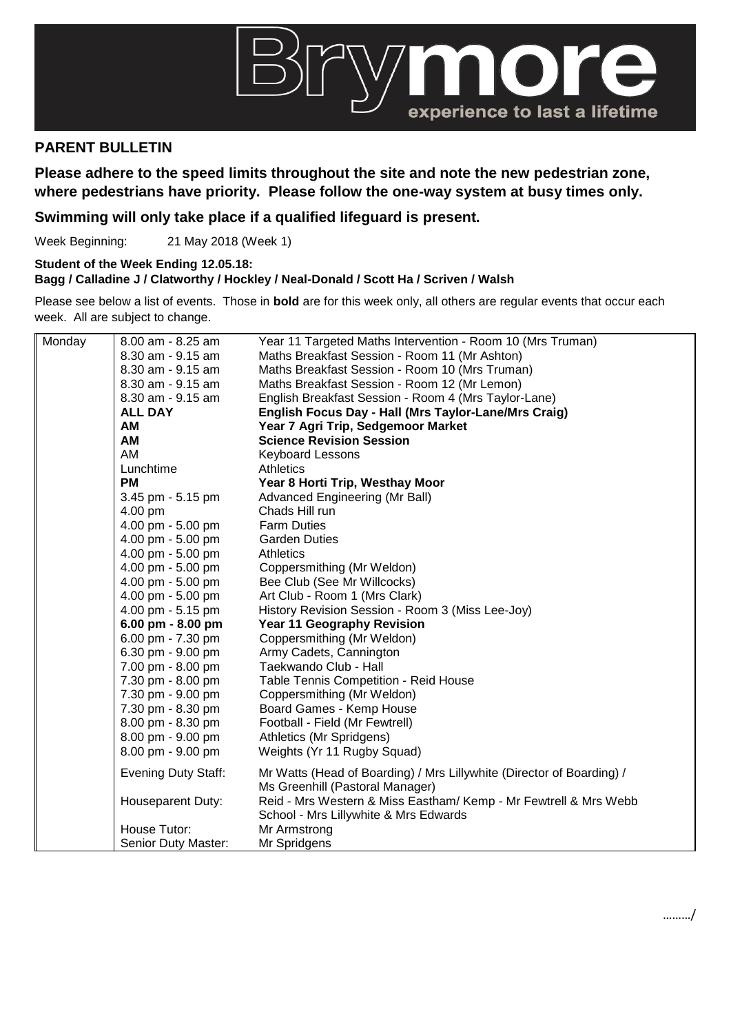

## **PARENT BULLETIN**

**Please adhere to the speed limits throughout the site and note the new pedestrian zone, where pedestrians have priority. Please follow the one-way system at busy times only.**

## **Swimming will only take place if a qualified lifeguard is present.**

Week Beginning: 21 May 2018 (Week 1)

**Student of the Week Ending 12.05.18:**

**Bagg / Calladine J / Clatworthy / Hockley / Neal-Donald / Scott Ha / Scriven / Walsh**

Please see below a list of events. Those in **bold** are for this week only, all others are regular events that occur each week. All are subject to change.

| Monday | 8.00 am - 8.25 am          | Year 11 Targeted Maths Intervention - Room 10 (Mrs Truman)                                               |
|--------|----------------------------|----------------------------------------------------------------------------------------------------------|
|        | 8.30 am - 9.15 am          | Maths Breakfast Session - Room 11 (Mr Ashton)                                                            |
|        | 8.30 am - 9.15 am          | Maths Breakfast Session - Room 10 (Mrs Truman)                                                           |
|        | 8.30 am - 9.15 am          | Maths Breakfast Session - Room 12 (Mr Lemon)                                                             |
|        | 8.30 am - 9.15 am          | English Breakfast Session - Room 4 (Mrs Taylor-Lane)                                                     |
|        | <b>ALL DAY</b>             | English Focus Day - Hall (Mrs Taylor-Lane/Mrs Craig)                                                     |
|        | AM                         | Year 7 Agri Trip, Sedgemoor Market                                                                       |
|        | <b>AM</b>                  | <b>Science Revision Session</b>                                                                          |
|        | AM                         | <b>Keyboard Lessons</b>                                                                                  |
|        | Lunchtime                  | <b>Athletics</b>                                                                                         |
|        | <b>PM</b>                  | Year 8 Horti Trip, Westhay Moor                                                                          |
|        | 3.45 pm - 5.15 pm          | Advanced Engineering (Mr Ball)                                                                           |
|        | 4.00 pm                    | Chads Hill run                                                                                           |
|        | 4.00 pm - 5.00 pm          | <b>Farm Duties</b>                                                                                       |
|        | 4.00 pm - 5.00 pm          | <b>Garden Duties</b>                                                                                     |
|        | 4.00 pm - 5.00 pm          | <b>Athletics</b>                                                                                         |
|        | 4.00 pm - 5.00 pm          | Coppersmithing (Mr Weldon)                                                                               |
|        | 4.00 pm - 5.00 pm          | Bee Club (See Mr Willcocks)                                                                              |
|        | 4.00 pm - 5.00 pm          | Art Club - Room 1 (Mrs Clark)                                                                            |
|        | 4.00 pm - 5.15 pm          | History Revision Session - Room 3 (Miss Lee-Joy)                                                         |
|        | 6.00 pm - 8.00 pm          | <b>Year 11 Geography Revision</b>                                                                        |
|        | 6.00 pm - 7.30 pm          | Coppersmithing (Mr Weldon)                                                                               |
|        | 6.30 pm - 9.00 pm          | Army Cadets, Cannington                                                                                  |
|        | 7.00 pm - 8.00 pm          | Taekwando Club - Hall                                                                                    |
|        | 7.30 pm - 8.00 pm          | Table Tennis Competition - Reid House                                                                    |
|        | 7.30 pm - 9.00 pm          | Coppersmithing (Mr Weldon)                                                                               |
|        | 7.30 pm - 8.30 pm          | Board Games - Kemp House                                                                                 |
|        | 8.00 pm - 8.30 pm          | Football - Field (Mr Fewtrell)                                                                           |
|        | 8.00 pm - 9.00 pm          | Athletics (Mr Spridgens)                                                                                 |
|        | 8.00 pm - 9.00 pm          | Weights (Yr 11 Rugby Squad)                                                                              |
|        | <b>Evening Duty Staff:</b> | Mr Watts (Head of Boarding) / Mrs Lillywhite (Director of Boarding) /<br>Ms Greenhill (Pastoral Manager) |
|        | Houseparent Duty:          | Reid - Mrs Western & Miss Eastham/Kemp - Mr Fewtrell & Mrs Webb                                          |
|        |                            | School - Mrs Lillywhite & Mrs Edwards                                                                    |
|        | House Tutor:               | Mr Armstrong                                                                                             |
|        | Senior Duty Master:        | Mr Spridgens                                                                                             |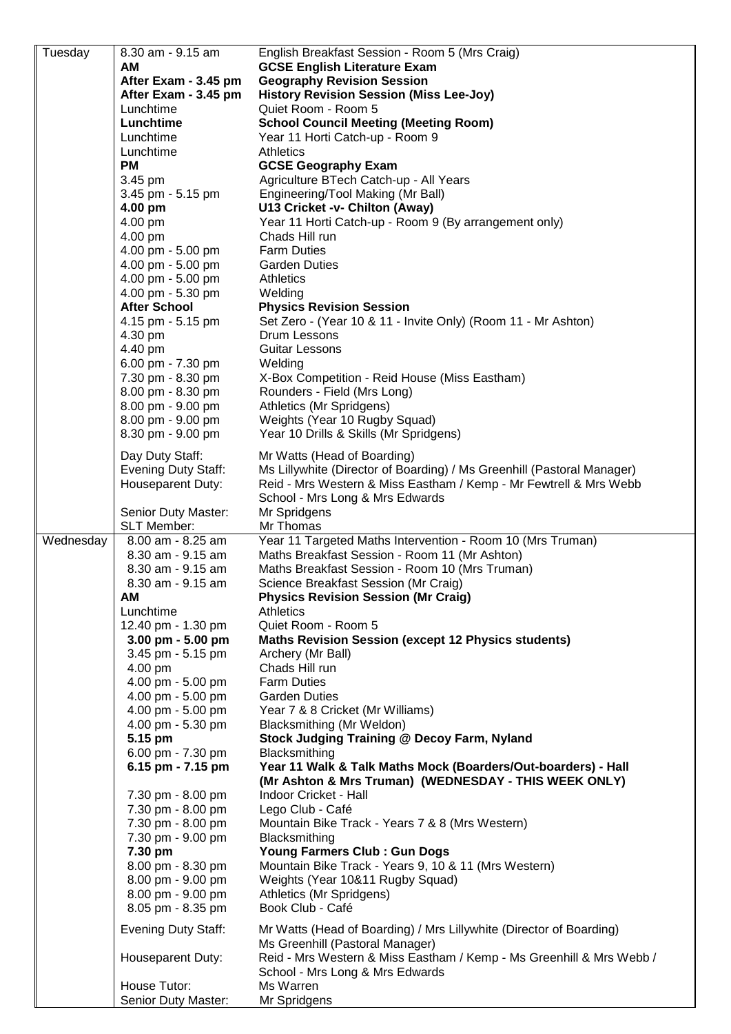| Tuesday   | 8.30 am - 9.15 am                      | English Breakfast Session - Room 5 (Mrs Craig)                                                              |
|-----------|----------------------------------------|-------------------------------------------------------------------------------------------------------------|
|           | AМ                                     | <b>GCSE English Literature Exam</b>                                                                         |
|           | After Exam - 3.45 pm                   | <b>Geography Revision Session</b>                                                                           |
|           | After Exam - 3.45 pm                   | <b>History Revision Session (Miss Lee-Joy)</b>                                                              |
|           | Lunchtime                              | Quiet Room - Room 5                                                                                         |
|           | Lunchtime                              | <b>School Council Meeting (Meeting Room)</b>                                                                |
|           | Lunchtime                              | Year 11 Horti Catch-up - Room 9                                                                             |
|           | Lunchtime                              | <b>Athletics</b>                                                                                            |
|           | <b>PM</b>                              | <b>GCSE Geography Exam</b>                                                                                  |
|           | 3.45 pm                                | Agriculture BTech Catch-up - All Years                                                                      |
|           | 3.45 pm - 5.15 pm                      | Engineering/Tool Making (Mr Ball)                                                                           |
|           | 4.00 pm<br>4.00 pm                     | U13 Cricket -v- Chilton (Away)<br>Year 11 Horti Catch-up - Room 9 (By arrangement only)                     |
|           | 4.00 pm                                | Chads Hill run                                                                                              |
|           | 4.00 pm - 5.00 pm                      | <b>Farm Duties</b>                                                                                          |
|           | 4.00 pm - 5.00 pm                      | <b>Garden Duties</b>                                                                                        |
|           | 4.00 pm - 5.00 pm                      | <b>Athletics</b>                                                                                            |
|           | 4.00 pm - 5.30 pm                      | Welding                                                                                                     |
|           | <b>After School</b>                    | <b>Physics Revision Session</b>                                                                             |
|           | 4.15 pm - 5.15 pm                      | Set Zero - (Year 10 & 11 - Invite Only) (Room 11 - Mr Ashton)                                               |
|           | 4.30 pm                                | Drum Lessons                                                                                                |
|           | 4.40 pm                                | <b>Guitar Lessons</b>                                                                                       |
|           | 6.00 pm - 7.30 pm                      | Welding                                                                                                     |
|           | 7.30 pm - 8.30 pm                      | X-Box Competition - Reid House (Miss Eastham)                                                               |
|           | 8.00 pm - 8.30 pm                      | Rounders - Field (Mrs Long)                                                                                 |
|           | 8.00 pm - 9.00 pm                      | Athletics (Mr Spridgens)                                                                                    |
|           | 8.00 pm - 9.00 pm                      | Weights (Year 10 Rugby Squad)                                                                               |
|           | 8.30 pm - 9.00 pm                      | Year 10 Drills & Skills (Mr Spridgens)                                                                      |
|           | Day Duty Staff:                        | Mr Watts (Head of Boarding)                                                                                 |
|           | <b>Evening Duty Staff:</b>             | Ms Lillywhite (Director of Boarding) / Ms Greenhill (Pastoral Manager)                                      |
|           | Houseparent Duty:                      | Reid - Mrs Western & Miss Eastham / Kemp - Mr Fewtrell & Mrs Webb                                           |
|           |                                        | School - Mrs Long & Mrs Edwards                                                                             |
|           | Senior Duty Master:                    | Mr Spridgens                                                                                                |
|           | <b>SLT Member:</b>                     | Mr Thomas                                                                                                   |
|           |                                        |                                                                                                             |
|           | 8.00 am - 8.25 am                      |                                                                                                             |
| Wednesday | 8.30 am - 9.15 am                      | Year 11 Targeted Maths Intervention - Room 10 (Mrs Truman)<br>Maths Breakfast Session - Room 11 (Mr Ashton) |
|           | 8.30 am - 9.15 am                      | Maths Breakfast Session - Room 10 (Mrs Truman)                                                              |
|           | 8.30 am - 9.15 am                      | Science Breakfast Session (Mr Craig)                                                                        |
|           | AM                                     | <b>Physics Revision Session (Mr Craig)</b>                                                                  |
|           | Lunchtime                              | <b>Athletics</b>                                                                                            |
|           | 12.40 pm - 1.30 pm                     | Quiet Room - Room 5                                                                                         |
|           | $3.00$ pm - $5.00$ pm                  | <b>Maths Revision Session (except 12 Physics students)</b>                                                  |
|           | 3.45 pm - 5.15 pm                      | Archery (Mr Ball)                                                                                           |
|           | 4.00 pm                                | Chads Hill run                                                                                              |
|           | 4.00 pm - 5.00 pm                      | <b>Farm Duties</b>                                                                                          |
|           | 4.00 pm - 5.00 pm                      | <b>Garden Duties</b>                                                                                        |
|           | 4.00 pm - 5.00 pm                      | Year 7 & 8 Cricket (Mr Williams)                                                                            |
|           | 4.00 pm - 5.30 pm                      | Blacksmithing (Mr Weldon)                                                                                   |
|           | 5.15 pm                                | Stock Judging Training @ Decoy Farm, Nyland                                                                 |
|           | 6.00 pm - 7.30 pm                      | Blacksmithing                                                                                               |
|           | 6.15 pm - $7.15$ pm                    | Year 11 Walk & Talk Maths Mock (Boarders/Out-boarders) - Hall                                               |
|           |                                        | (Mr Ashton & Mrs Truman) (WEDNESDAY - THIS WEEK ONLY)                                                       |
|           | 7.30 pm - 8.00 pm                      | Indoor Cricket - Hall                                                                                       |
|           | 7.30 pm - 8.00 pm<br>7.30 pm - 8.00 pm | Lego Club - Café<br>Mountain Bike Track - Years 7 & 8 (Mrs Western)                                         |
|           | 7.30 pm - 9.00 pm                      | Blacksmithing                                                                                               |
|           | 7.30 pm                                | <b>Young Farmers Club: Gun Dogs</b>                                                                         |
|           | 8.00 pm - 8.30 pm                      | Mountain Bike Track - Years 9, 10 & 11 (Mrs Western)                                                        |
|           | 8.00 pm - 9.00 pm                      | Weights (Year 10&11 Rugby Squad)                                                                            |
|           | 8.00 pm - 9.00 pm                      | Athletics (Mr Spridgens)                                                                                    |
|           | 8.05 pm - 8.35 pm                      | Book Club - Café                                                                                            |
|           |                                        |                                                                                                             |
|           | <b>Evening Duty Staff:</b>             | Mr Watts (Head of Boarding) / Mrs Lillywhite (Director of Boarding)                                         |
|           | Houseparent Duty:                      | Ms Greenhill (Pastoral Manager)<br>Reid - Mrs Western & Miss Eastham / Kemp - Ms Greenhill & Mrs Webb /     |
|           |                                        | School - Mrs Long & Mrs Edwards                                                                             |
|           | House Tutor:                           | Ms Warren                                                                                                   |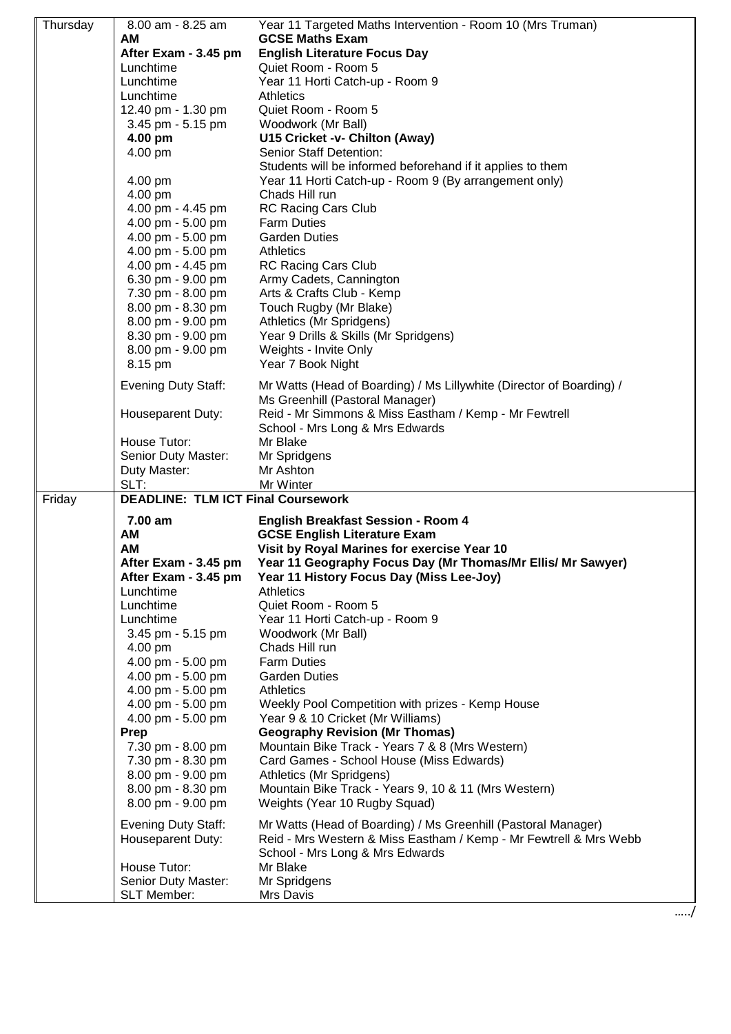| Thursday | 8.00 am - 8.25 am<br>AМ<br>After Exam - 3.45 pm<br>Lunchtime<br>Lunchtime<br>Lunchtime            | Year 11 Targeted Maths Intervention - Room 10 (Mrs Truman)<br><b>GCSE Maths Exam</b><br><b>English Literature Focus Day</b><br>Quiet Room - Room 5<br>Year 11 Horti Catch-up - Room 9<br><b>Athletics</b>         |  |
|----------|---------------------------------------------------------------------------------------------------|-------------------------------------------------------------------------------------------------------------------------------------------------------------------------------------------------------------------|--|
|          | 12.40 pm - 1.30 pm<br>3.45 pm - 5.15 pm                                                           | Quiet Room - Room 5<br>Woodwork (Mr Ball)                                                                                                                                                                         |  |
|          | 4.00 pm                                                                                           | U15 Cricket -v- Chilton (Away)<br>Senior Staff Detention:                                                                                                                                                         |  |
|          | 4.00 pm                                                                                           | Students will be informed beforehand if it applies to them                                                                                                                                                        |  |
|          | 4.00 pm<br>4.00 pm                                                                                | Year 11 Horti Catch-up - Room 9 (By arrangement only)<br>Chads Hill run                                                                                                                                           |  |
|          | 4.00 pm - 4.45 pm                                                                                 | <b>RC Racing Cars Club</b><br><b>Farm Duties</b>                                                                                                                                                                  |  |
|          | 4.00 pm - 5.00 pm<br>4.00 pm - 5.00 pm                                                            | <b>Garden Duties</b>                                                                                                                                                                                              |  |
|          | 4.00 pm - 5.00 pm                                                                                 | <b>Athletics</b>                                                                                                                                                                                                  |  |
|          | 4.00 pm - 4.45 pm<br>6.30 pm - 9.00 pm                                                            | <b>RC Racing Cars Club</b><br>Army Cadets, Cannington                                                                                                                                                             |  |
|          | 7.30 pm - 8.00 pm                                                                                 | Arts & Crafts Club - Kemp                                                                                                                                                                                         |  |
|          | 8.00 pm - 8.30 pm<br>8.00 pm - 9.00 pm                                                            | Touch Rugby (Mr Blake)<br>Athletics (Mr Spridgens)                                                                                                                                                                |  |
|          | 8.30 pm - 9.00 pm                                                                                 | Year 9 Drills & Skills (Mr Spridgens)                                                                                                                                                                             |  |
|          | 8.00 pm - 9.00 pm<br>8.15 pm                                                                      | Weights - Invite Only<br>Year 7 Book Night                                                                                                                                                                        |  |
|          | <b>Evening Duty Staff:</b>                                                                        | Mr Watts (Head of Boarding) / Ms Lillywhite (Director of Boarding) /<br>Ms Greenhill (Pastoral Manager)                                                                                                           |  |
|          | Houseparent Duty:                                                                                 | Reid - Mr Simmons & Miss Eastham / Kemp - Mr Fewtrell<br>School - Mrs Long & Mrs Edwards                                                                                                                          |  |
|          | House Tutor:                                                                                      | Mr Blake                                                                                                                                                                                                          |  |
|          | Senior Duty Master:<br>Duty Master:                                                               | Mr Spridgens<br>Mr Ashton                                                                                                                                                                                         |  |
|          | SLT:                                                                                              | Mr Winter                                                                                                                                                                                                         |  |
| Friday   | <b>DEADLINE: TLM ICT Final Coursework</b><br>7.00 am<br><b>English Breakfast Session - Room 4</b> |                                                                                                                                                                                                                   |  |
|          | AM<br>AM<br>After Exam - 3.45 pm<br>After Exam - 3.45 pm<br>Lunchtime                             | <b>GCSE English Literature Exam</b><br>Visit by Royal Marines for exercise Year 10<br>Year 11 Geography Focus Day (Mr Thomas/Mr Ellis/ Mr Sawyer)<br>Year 11 History Focus Day (Miss Lee-Joy)<br><b>Athletics</b> |  |
|          | Lunchtime                                                                                         | Quiet Room - Room 5                                                                                                                                                                                               |  |
|          | Lunchtime<br>3.45 pm - 5.15 pm                                                                    | Year 11 Horti Catch-up - Room 9<br>Woodwork (Mr Ball)                                                                                                                                                             |  |
|          | 4.00 pm                                                                                           | Chads Hill run                                                                                                                                                                                                    |  |
|          | 4.00 pm - 5.00 pm<br>4.00 pm - 5.00 pm                                                            | <b>Farm Duties</b><br><b>Garden Duties</b>                                                                                                                                                                        |  |
|          | 4.00 pm - 5.00 pm                                                                                 | <b>Athletics</b>                                                                                                                                                                                                  |  |
|          | 4.00 pm - 5.00 pm<br>4.00 pm - 5.00 pm                                                            | Weekly Pool Competition with prizes - Kemp House<br>Year 9 & 10 Cricket (Mr Williams)                                                                                                                             |  |
|          | Prep                                                                                              | <b>Geography Revision (Mr Thomas)</b>                                                                                                                                                                             |  |
|          | 7.30 pm - 8.00 pm<br>7.30 pm - 8.30 pm                                                            | Mountain Bike Track - Years 7 & 8 (Mrs Western)<br>Card Games - School House (Miss Edwards)                                                                                                                       |  |
|          | 8.00 pm - 9.00 pm                                                                                 | Athletics (Mr Spridgens)                                                                                                                                                                                          |  |
|          | 8.00 pm - 8.30 pm<br>8.00 pm - 9.00 pm                                                            | Mountain Bike Track - Years 9, 10 & 11 (Mrs Western)<br>Weights (Year 10 Rugby Squad)                                                                                                                             |  |
|          | <b>Evening Duty Staff:</b><br>Houseparent Duty:                                                   | Mr Watts (Head of Boarding) / Ms Greenhill (Pastoral Manager)<br>Reid - Mrs Western & Miss Eastham / Kemp - Mr Fewtrell & Mrs Webb<br>School - Mrs Long & Mrs Edwards                                             |  |
|          | House Tutor:<br>Senior Duty Master:                                                               | Mr Blake                                                                                                                                                                                                          |  |
|          | <b>SLT Member:</b>                                                                                | Mr Spridgens<br>Mrs Davis                                                                                                                                                                                         |  |
|          |                                                                                                   |                                                                                                                                                                                                                   |  |